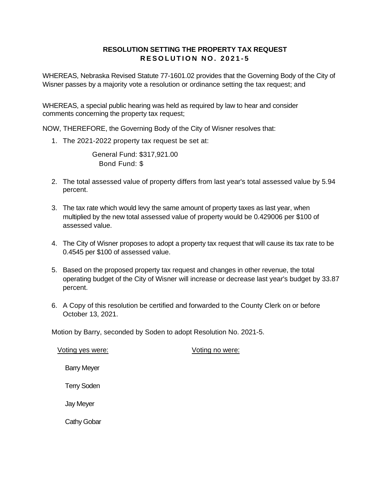## **RESOLUTION SETTING THE PROPERTY TAX REQUEST R E S O L U T I O N N O . 2 0 2 1 - 5**

WHEREAS, Nebraska Revised Statute 77-1601.02 provides that the Governing Body of the City of Wisner passes by a majority vote a resolution or ordinance setting the tax request; and

WHEREAS, a special public hearing was held as required by law to hear and consider comments concerning the property tax request;

NOW, THEREFORE, the Governing Body of the City of Wisner resolves that:

1. The 2021-2022 property tax request be set at:

General Fund: \$317,921.00 Bond Fund: \$

- 2. The total assessed value of property differs from last year's total assessed value by 5.94 percent.
- 3. The tax rate which would levy the same amount of property taxes as last year, when multiplied by the new total assessed value of property would be 0.429006 per \$100 of assessed value.
- 4. The City of Wisner proposes to adopt a property tax request that will cause its tax rate to be 0.4545 per \$100 of assessed value.
- 5. Based on the proposed property tax request and changes in other revenue, the total operating budget of the City of Wisner will increase or decrease last year's budget by 33.87 percent.
- 6. A Copy of this resolution be certified and forwarded to the County Clerk on or before October 13, 2021.

Motion by Barry, seconded by Soden to adopt Resolution No. 2021-5.

| Voting yes were:   | Voting no were: |
|--------------------|-----------------|
| <b>Barry Meyer</b> |                 |
| <b>Terry Soden</b> |                 |
| Jay Meyer          |                 |
| <b>Cathy Gobar</b> |                 |
|                    |                 |